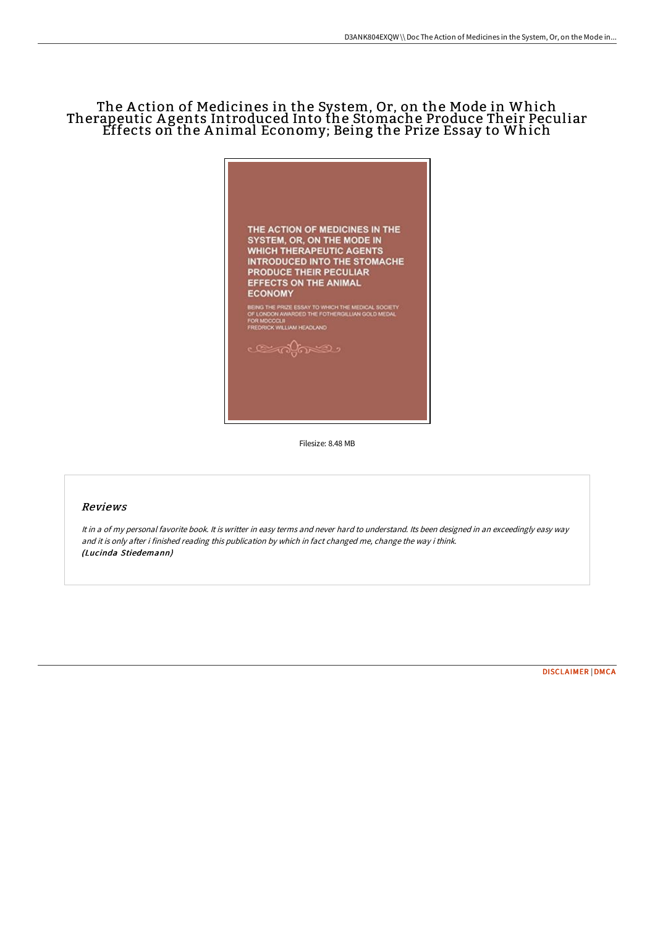# The A ction of Medicines in the System, Or, on the Mode in Which Therapeutic A gents Introduced Into the Stomache Produce Their Peculiar Effects on the A nimal Economy; Being the Prize Essay to Which



Filesize: 8.48 MB

## Reviews

It in <sup>a</sup> of my personal favorite book. It is writter in easy terms and never hard to understand. Its been designed in an exceedingly easy way and it is only after i finished reading this publication by which in fact changed me, change the way i think. (Lucinda Stiedemann)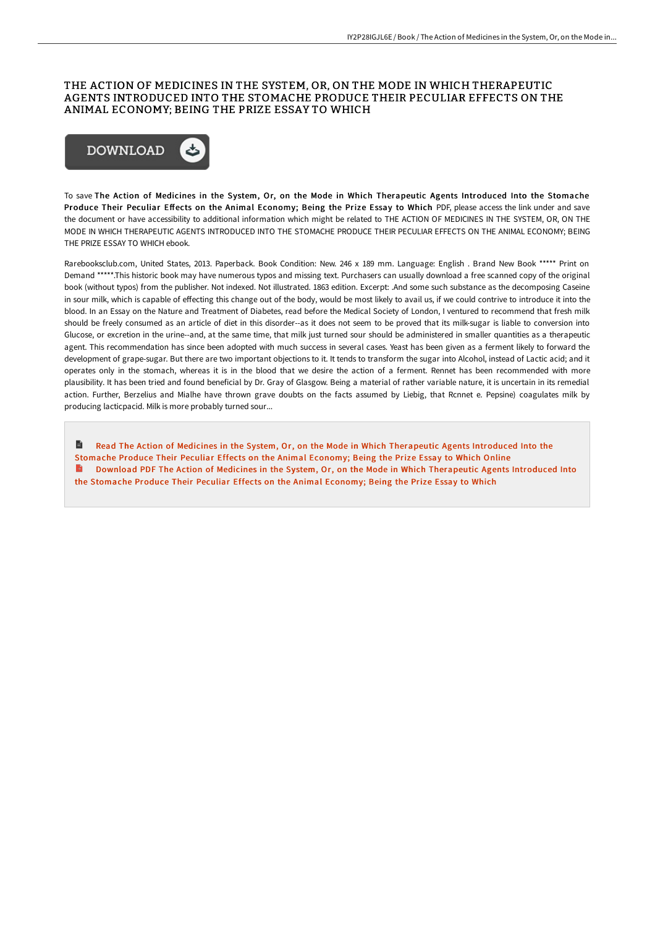### THE ACTION OF MEDICINES IN THE SYSTEM, OR, ON THE MODE IN WHICH THERAPEUTIC AGENTS INTRODUCED INTO THE STOMACHE PRODUCE THEIR PECULIAR EFFECTS ON THE ANIMAL ECONOMY; BEING THE PRIZE ESSAY TO WHICH



To save The Action of Medicines in the System, Or, on the Mode in Which Therapeutic Agents Introduced Into the Stomache Produce Their Peculiar Effects on the Animal Economy; Being the Prize Essay to Which PDF, please access the link under and save the document or have accessibility to additional information which might be related to THE ACTION OF MEDICINES IN THE SYSTEM, OR, ON THE MODE IN WHICH THERAPEUTIC AGENTS INTRODUCED INTO THE STOMACHE PRODUCE THEIR PECULIAR EFFECTS ON THE ANIMAL ECONOMY; BEING THE PRIZE ESSAY TO WHICH ebook.

Rarebooksclub.com, United States, 2013. Paperback. Book Condition: New. 246 x 189 mm. Language: English . Brand New Book \*\*\*\*\* Print on Demand \*\*\*\*\*.This historic book may have numerous typos and missing text. Purchasers can usually download a free scanned copy of the original book (without typos) from the publisher. Not indexed. Not illustrated. 1863 edition. Excerpt: .And some such substance as the decomposing Caseine in sour milk, which is capable of effecting this change out of the body, would be most likely to avail us, if we could contrive to introduce it into the blood. In an Essay on the Nature and Treatment of Diabetes, read before the Medical Society of London, I ventured to recommend that fresh milk should be freely consumed as an article of diet in this disorder--as it does not seem to be proved that its milk-sugar is liable to conversion into Glucose, or excretion in the urine--and, at the same time, that milk just turned sour should be administered in smaller quantities as a therapeutic agent. This recommendation has since been adopted with much success in several cases. Yeast has been given as a ferment likely to forward the development of grape-sugar. But there are two important objections to it. It tends to transform the sugar into Alcohol, instead of Lactic acid; and it operates only in the stomach, whereas it is in the blood that we desire the action of a ferment. Rennet has been recommended with more plausibility. It has been tried and found beneficial by Dr. Gray of Glasgow. Being a material of rather variable nature, it is uncertain in its remedial action. Further, Berzelius and Mialhe have thrown grave doubts on the facts assumed by Liebig, that Rcnnet e. Pepsine) coagulates milk by producing lacticpacid. Milk is more probably turned sour...

Read The Action of Medicines in the System, Or, on the Mode in Which [Therapeutic](http://www.bookdirs.com/the-action-of-medicines-in-the-system-or-on-the-.html) Agents Introduced Into the B Stomache Produce Their Peculiar Effects on the Animal Economy; Being the Prize Essay to Which Online Download PDF The Action of Medicines in the System, Or, on the Mode in Which [Therapeutic](http://www.bookdirs.com/the-action-of-medicines-in-the-system-or-on-the-.html) Agents Introduced Into the Stomache Produce Their Peculiar Effects on the Animal Economy; Being the Prize Essay to Which